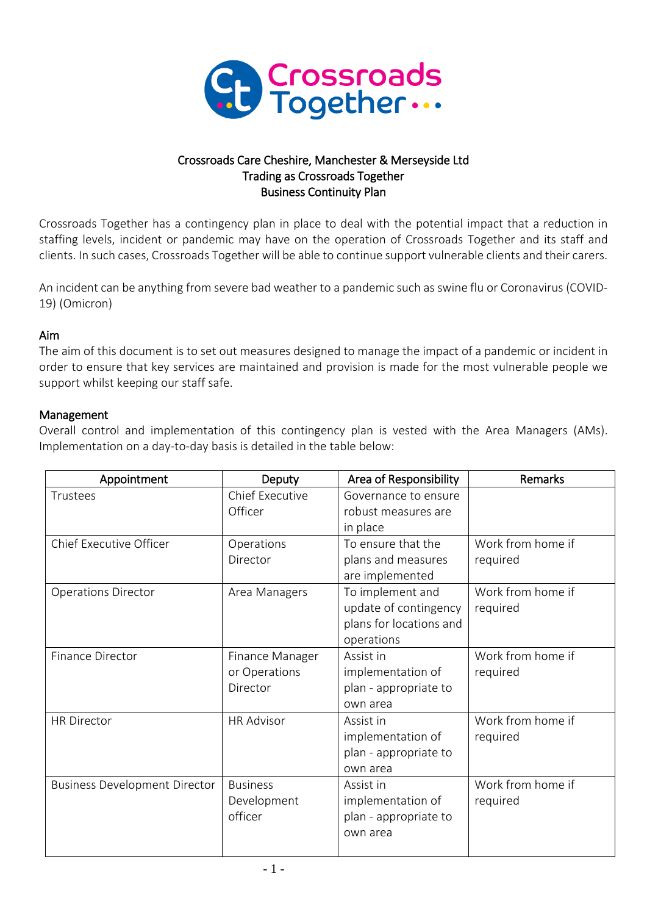

## Crossroads Care Cheshire, Manchester & Merseyside Ltd Trading as Crossroads Together Business Continuity Plan

Crossroads Together has a contingency plan in place to deal with the potential impact that a reduction in staffing levels, incident or pandemic may have on the operation of Crossroads Together and its staff and clients. In such cases, Crossroads Together will be able to continue support vulnerable clients and their carers.

An incident can be anything from severe bad weather to a pandemic such as swine flu or Coronavirus (COVID-19) (Omicron)

## Aim

The aim of this document is to set out measures designed to manage the impact of a pandemic or incident in order to ensure that key services are maintained and provision is made for the most vulnerable people we support whilst keeping our staff safe.

## Management

Overall control and implementation of this contingency plan is vested with the Area Managers (AMs). Implementation on a day-to-day basis is detailed in the table below:

| Appointment                          | Deputy                 | Area of Responsibility  | Remarks           |
|--------------------------------------|------------------------|-------------------------|-------------------|
| Trustees                             | <b>Chief Executive</b> | Governance to ensure    |                   |
|                                      | Officer                | robust measures are     |                   |
|                                      |                        | in place                |                   |
| Chief Executive Officer              | Operations             | To ensure that the      | Work from home if |
|                                      | Director               | plans and measures      | required          |
|                                      |                        | are implemented         |                   |
| <b>Operations Director</b>           | Area Managers          | To implement and        | Work from home if |
|                                      |                        | update of contingency   | required          |
|                                      |                        | plans for locations and |                   |
|                                      |                        | operations              |                   |
| Finance Director                     | Finance Manager        | Assist in               | Work from home if |
|                                      | or Operations          | implementation of       | required          |
|                                      | Director               | plan - appropriate to   |                   |
|                                      |                        | own area                |                   |
| <b>HR Director</b>                   | <b>HR Advisor</b>      | Assist in               | Work from home if |
|                                      |                        | implementation of       | required          |
|                                      |                        | plan - appropriate to   |                   |
|                                      |                        | own area                |                   |
| <b>Business Development Director</b> | <b>Business</b>        | Assist in               | Work from home if |
|                                      | Development            | implementation of       | required          |
|                                      | officer                | plan - appropriate to   |                   |
|                                      |                        | own area                |                   |
|                                      |                        |                         |                   |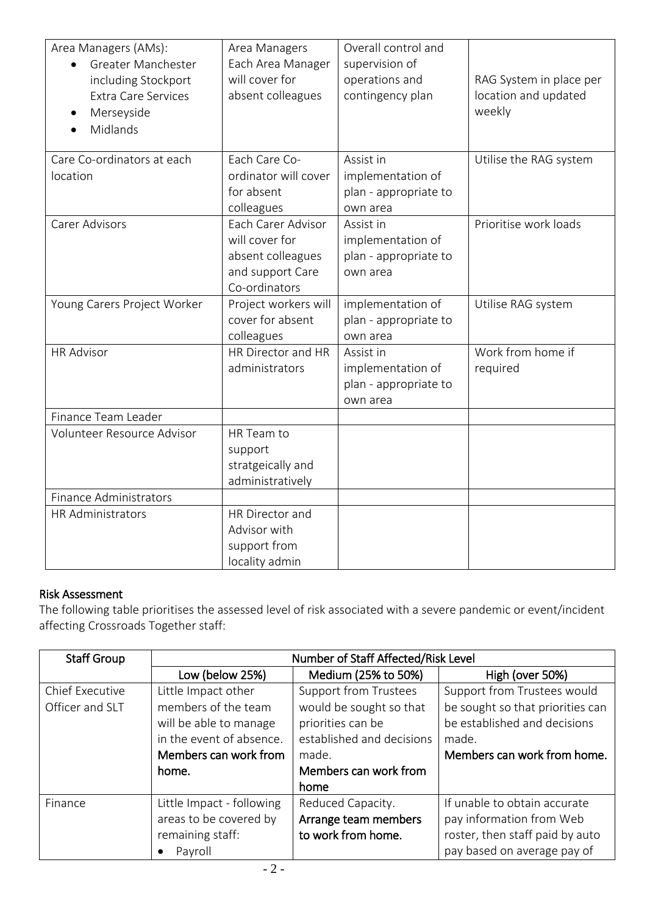| Area Managers (AMs):<br>Greater Manchester | Area Managers<br>Each Area Manager | Overall control and<br>supervision of |                         |
|--------------------------------------------|------------------------------------|---------------------------------------|-------------------------|
| including Stockport                        | will cover for                     | operations and                        | RAG System in place per |
| Extra Care Services                        | absent colleagues                  | contingency plan                      | location and updated    |
| Merseyside                                 |                                    |                                       | weekly                  |
| Midlands                                   |                                    |                                       |                         |
|                                            |                                    |                                       |                         |
| Care Co-ordinators at each                 | Each Care Co-                      | Assist in                             | Utilise the RAG system  |
| location                                   | ordinator will cover               | implementation of                     |                         |
|                                            | for absent                         | plan - appropriate to                 |                         |
|                                            | colleagues                         | own area                              |                         |
| <b>Carer Advisors</b>                      | Each Carer Advisor                 | Assist in                             | Prioritise work loads   |
|                                            | will cover for                     | implementation of                     |                         |
|                                            | absent colleagues                  | plan - appropriate to                 |                         |
|                                            | and support Care                   | own area                              |                         |
|                                            | Co-ordinators                      |                                       |                         |
| Young Carers Project Worker                | Project workers will               | implementation of                     | Utilise RAG system      |
|                                            | cover for absent                   | plan - appropriate to                 |                         |
|                                            | colleagues                         | own area                              |                         |
| <b>HR Advisor</b>                          | HR Director and HR                 | Assist in                             | Work from home if       |
|                                            | administrators                     | implementation of                     | required                |
|                                            |                                    | plan - appropriate to                 |                         |
|                                            |                                    | own area                              |                         |
| Finance Team Leader                        |                                    |                                       |                         |
| Volunteer Resource Advisor                 | HR Team to                         |                                       |                         |
|                                            | support                            |                                       |                         |
|                                            | stratgeically and                  |                                       |                         |
|                                            | administratively                   |                                       |                         |
| Finance Administrators                     |                                    |                                       |                         |
| HR Administrators                          | HR Director and                    |                                       |                         |
|                                            | Advisor with                       |                                       |                         |
|                                            | support from                       |                                       |                         |
|                                            | locality admin                     |                                       |                         |

# Risk Assessment

The following table prioritises the assessed level of risk associated with a severe pandemic or event/incident affecting Crossroads Together staff:

| <b>Staff Group</b>     | Number of Staff Affected/Risk Level |                              |                                  |
|------------------------|-------------------------------------|------------------------------|----------------------------------|
|                        | Low (below 25%)                     | Medium (25% to 50%)          | High (over 50%)                  |
| <b>Chief Executive</b> | Little Impact other                 | <b>Support from Trustees</b> | Support from Trustees would      |
| Officer and SLT        | members of the team                 | would be sought so that      | be sought so that priorities can |
|                        | will be able to manage              | priorities can be            | be established and decisions     |
|                        | in the event of absence.            | established and decisions    | made.                            |
|                        | Members can work from               | made.                        | Members can work from home.      |
|                        | home.                               | Members can work from        |                                  |
|                        |                                     | home                         |                                  |
| Finance                | Little Impact - following           | Reduced Capacity.            | If unable to obtain accurate     |
|                        | areas to be covered by              | Arrange team members         | pay information from Web         |
|                        | remaining staff:                    | to work from home.           | roster, then staff paid by auto  |
|                        | Payroll                             |                              | pay based on average pay of      |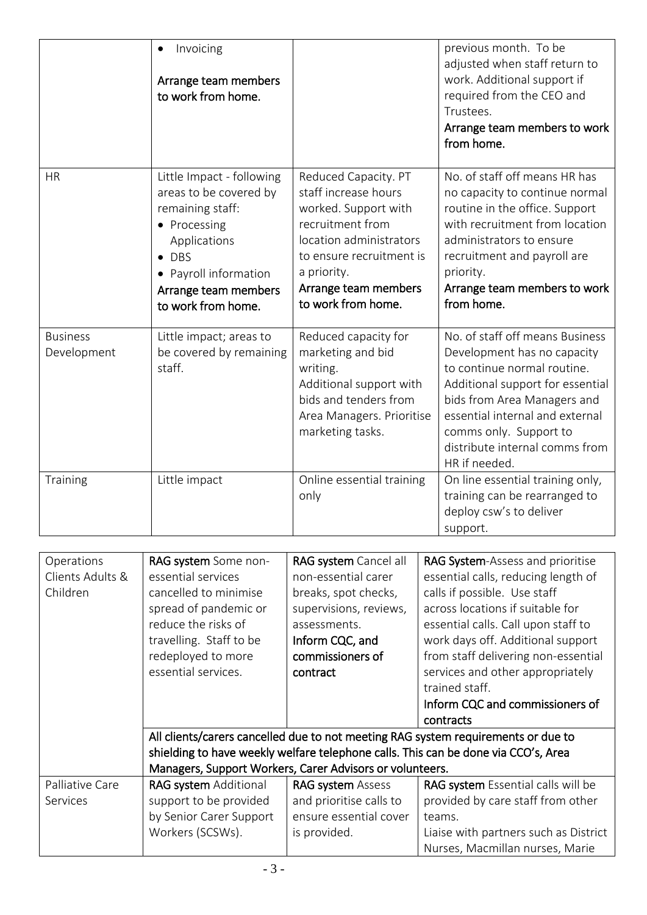|                                            | Invoicing<br>Arrange team members<br>to work from home.                                                                                                                                                                                                 |                                                                                                                                                                                                              | previous month. To be<br>adjusted when staff return to<br>work. Additional support if<br>required from the CEO and<br>Trustees.<br>Arrange team members to work<br>from home.                                                                                                                                                                                                                                                                                                                                                                   |
|--------------------------------------------|---------------------------------------------------------------------------------------------------------------------------------------------------------------------------------------------------------------------------------------------------------|--------------------------------------------------------------------------------------------------------------------------------------------------------------------------------------------------------------|-------------------------------------------------------------------------------------------------------------------------------------------------------------------------------------------------------------------------------------------------------------------------------------------------------------------------------------------------------------------------------------------------------------------------------------------------------------------------------------------------------------------------------------------------|
| <b>HR</b>                                  | Little Impact - following<br>areas to be covered by<br>remaining staff:<br>• Processing<br>Applications<br>$\bullet$ DBS<br>• Payroll information<br>Arrange team members<br>to work from home.                                                         | Reduced Capacity. PT<br>staff increase hours<br>worked. Support with<br>recruitment from<br>location administrators<br>to ensure recruitment is<br>a priority.<br>Arrange team members<br>to work from home. | No. of staff off means HR has<br>no capacity to continue normal<br>routine in the office. Support<br>with recruitment from location<br>administrators to ensure<br>recruitment and payroll are<br>priority.<br>Arrange team members to work<br>from home.                                                                                                                                                                                                                                                                                       |
| <b>Business</b><br>Development             | Little impact; areas to<br>be covered by remaining<br>staff.                                                                                                                                                                                            | Reduced capacity for<br>marketing and bid<br>writing.<br>Additional support with<br>bids and tenders from<br>Area Managers. Prioritise<br>marketing tasks.                                                   | No. of staff off means Business<br>Development has no capacity<br>to continue normal routine.<br>Additional support for essential<br>bids from Area Managers and<br>essential internal and external<br>comms only. Support to<br>distribute internal comms from<br>HR if needed.                                                                                                                                                                                                                                                                |
| <b>Training</b>                            | Little impact                                                                                                                                                                                                                                           | Online essential training<br>only                                                                                                                                                                            | On line essential training only,<br>training can be rearranged to<br>deploy csw's to deliver<br>support.                                                                                                                                                                                                                                                                                                                                                                                                                                        |
|                                            |                                                                                                                                                                                                                                                         |                                                                                                                                                                                                              |                                                                                                                                                                                                                                                                                                                                                                                                                                                                                                                                                 |
| Operations<br>Clients Adults &<br>Children | RAG system Some non-<br>essential services<br>cancelled to minimise<br>spread of pandemic or<br>reduce the risks of<br>travelling. Staff to be<br>redeployed to more<br>essential services.<br>Managers, Support Workers, Carer Advisors or volunteers. | RAG system Cancel all<br>non-essential carer<br>breaks, spot checks,<br>supervisions, reviews,<br>assessments.<br>Inform CQC, and<br>commissioners of<br>contract                                            | RAG System-Assess and prioritise<br>essential calls, reducing length of<br>calls if possible. Use staff<br>across locations if suitable for<br>essential calls. Call upon staff to<br>work days off. Additional support<br>from staff delivering non-essential<br>services and other appropriately<br>trained staff.<br>Inform CQC and commissioners of<br>contracts<br>All clients/carers cancelled due to not meeting RAG system requirements or due to<br>shielding to have weekly welfare telephone calls. This can be done via CCO's, Area |
| Palliative Care                            | RAG system Additional                                                                                                                                                                                                                                   | <b>RAG system Assess</b>                                                                                                                                                                                     | RAG system Essential calls will be                                                                                                                                                                                                                                                                                                                                                                                                                                                                                                              |
| Services                                   | support to be provided                                                                                                                                                                                                                                  | and prioritise calls to                                                                                                                                                                                      | provided by care staff from other                                                                                                                                                                                                                                                                                                                                                                                                                                                                                                               |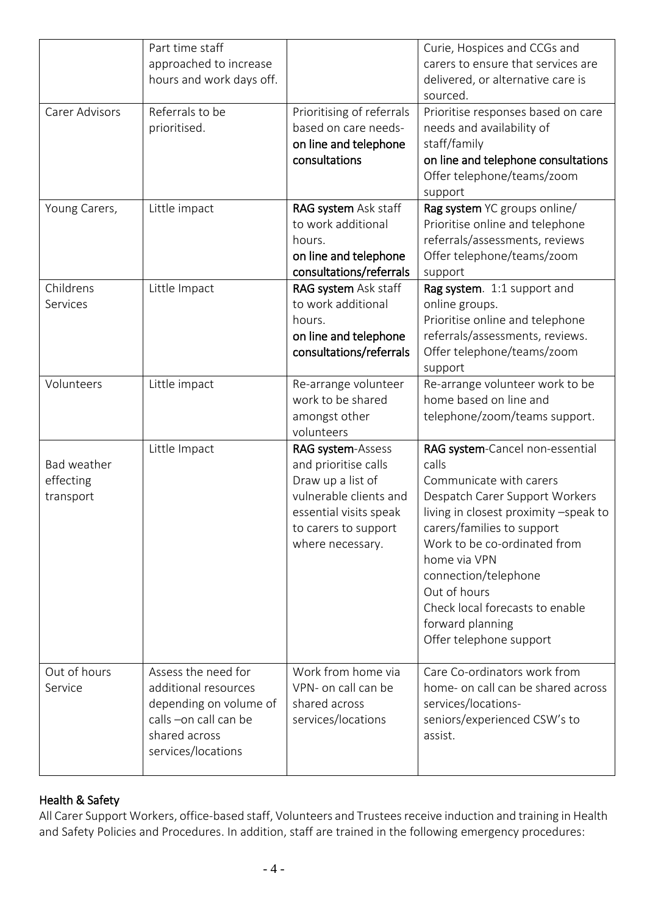|                                       | Part time staff<br>approached to increase<br>hours and work days off.                                                                 |                                                                                                                                                                | Curie, Hospices and CCGs and<br>carers to ensure that services are<br>delivered, or alternative care is<br>sourced.                                                                                                                                                                                                                                    |
|---------------------------------------|---------------------------------------------------------------------------------------------------------------------------------------|----------------------------------------------------------------------------------------------------------------------------------------------------------------|--------------------------------------------------------------------------------------------------------------------------------------------------------------------------------------------------------------------------------------------------------------------------------------------------------------------------------------------------------|
| Carer Advisors                        | Referrals to be<br>prioritised.                                                                                                       | Prioritising of referrals<br>based on care needs-<br>on line and telephone<br>consultations                                                                    | Prioritise responses based on care<br>needs and availability of<br>staff/family<br>on line and telephone consultations<br>Offer telephone/teams/zoom<br>support                                                                                                                                                                                        |
| Young Carers,                         | Little impact                                                                                                                         | RAG system Ask staff<br>to work additional<br>hours.<br>on line and telephone<br>consultations/referrals                                                       | Rag system YC groups online/<br>Prioritise online and telephone<br>referrals/assessments, reviews<br>Offer telephone/teams/zoom<br>support                                                                                                                                                                                                             |
| Childrens<br>Services                 | Little Impact                                                                                                                         | RAG system Ask staff<br>to work additional<br>hours.<br>on line and telephone<br>consultations/referrals                                                       | Rag system. 1:1 support and<br>online groups.<br>Prioritise online and telephone<br>referrals/assessments, reviews.<br>Offer telephone/teams/zoom<br>support                                                                                                                                                                                           |
| Volunteers                            | Little impact                                                                                                                         | Re-arrange volunteer<br>work to be shared<br>amongst other<br>volunteers                                                                                       | Re-arrange volunteer work to be<br>home based on line and<br>telephone/zoom/teams support.                                                                                                                                                                                                                                                             |
| Bad weather<br>effecting<br>transport | Little Impact                                                                                                                         | RAG system-Assess<br>and prioritise calls<br>Draw up a list of<br>vulnerable clients and<br>essential visits speak<br>to carers to support<br>where necessary. | RAG system-Cancel non-essential<br>calls<br>Communicate with carers<br>Despatch Carer Support Workers<br>living in closest proximity -speak to<br>carers/families to support<br>Work to be co-ordinated from<br>home via VPN<br>connection/telephone<br>Out of hours<br>Check local forecasts to enable<br>forward planning<br>Offer telephone support |
| Out of hours<br>Service               | Assess the need for<br>additional resources<br>depending on volume of<br>calls -on call can be<br>shared across<br>services/locations | Work from home via<br>VPN- on call can be<br>shared across<br>services/locations                                                                               | Care Co-ordinators work from<br>home- on call can be shared across<br>services/locations-<br>seniors/experienced CSW's to<br>assist.                                                                                                                                                                                                                   |

# Health & Safety

All Carer Support Workers, office-based staff, Volunteers and Trustees receive induction and training in Health and Safety Policies and Procedures. In addition, staff are trained in the following emergency procedures: